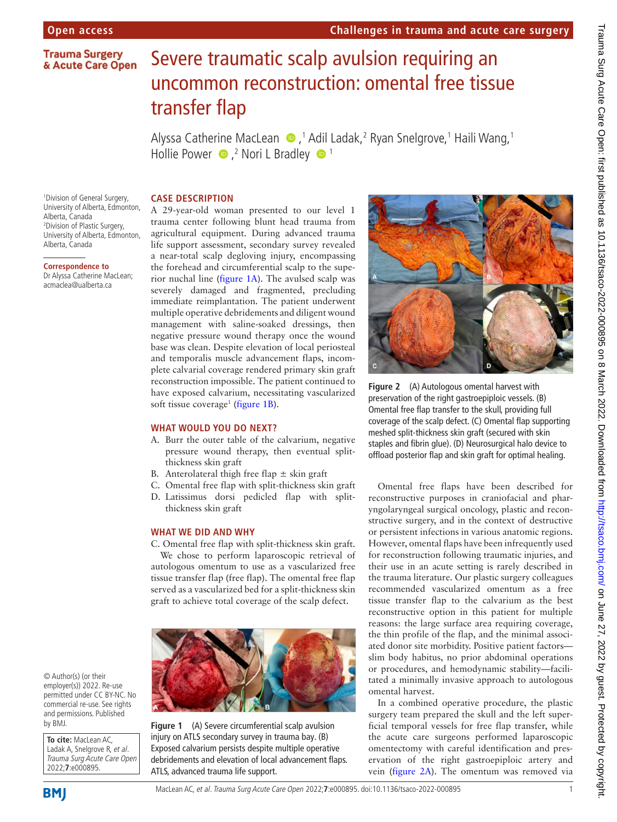# **Trauma Surgery** & Acute Care Open

# Severe traumatic scalp avulsion requiring an uncommon reconstruction: omental free tissue transfer flap

Alyssa Catherine MacLean  $\,\,\bullet\,$ ,<sup>1</sup> Adil Ladak,<sup>2</sup> Ryan Snelgrove,<sup>1</sup> Haili Wang,<sup>1</sup> Hollie Power  $\bullet$  ,<sup>2</sup> Nori L Bradley  $\bullet$  <sup>1</sup>

# **CASE DESCRIPTION**

1 Division of General Surgery, University of Alberta, Edmonton, Alberta, Canada 2 Division of Plastic Surgery, University of Alberta, Edmonton, Alberta, Canada

#### **Correspondence to**

Dr Alyssa Catherine MacLean; acmaclea@ualberta.ca

A 29-year-old woman presented to our level 1 trauma center following blunt head trauma from agricultural equipment. During advanced trauma life support assessment, secondary survey revealed a near-total scalp degloving injury, encompassing the forehead and circumferential scalp to the superior nuchal line [\(figure](#page-0-0) 1A). The avulsed scalp was severely damaged and fragmented, precluding immediate reimplantation. The patient underwent multiple operative debridements and diligent wound management with saline-soaked dressings, then negative pressure wound therapy once the wound base was clean. Despite elevation of local periosteal and temporalis muscle advancement flaps, incomplete calvarial coverage rendered primary skin graft reconstruction impossible. The patient continued to have exposed calvarium, necessitating vascularized soft tissue coverage<sup>1</sup> ([figure](#page-0-0) 1B).

# **WHAT WOULD YOU DO NEXT?**

- A. Burr the outer table of the calvarium, negative pressure wound therapy, then eventual splitthickness skin graft
- B. Anterolateral thigh free flap  $\pm$  skin graft
- C. Omental free flap with split-thickness skin graft
- D. Latissimus dorsi pedicled flap with splitthickness skin graft

# **WHAT WE DID AND WHY**

C. Omental free flap with split-thickness skin graft.

We chose to perform laparoscopic retrieval of autologous omentum to use as a vascularized free tissue transfer flap (free flap). The omental free flap served as a vascularized bed for a split-thickness skin graft to achieve total coverage of the scalp defect.



© Author(s) (or their employer(s)) 2022. Re-use permitted under CC BY-NC. No commercial re-use. See rights and permissions. Published by BMJ.

**To cite:** MacLean AC, Ladak A, Snelgrove R, et al. Trauma Surg Acute Care Open 2022;**7**:e000895.

<span id="page-0-0"></span>**Figure 1** (A) Severe circumferential scalp avulsion injury on ATLS secondary survey in trauma bay. (B) Exposed calvarium persists despite multiple operative debridements and elevation of local advancement flaps. ATLS, advanced trauma life support.



<span id="page-0-1"></span>**Figure 2** (A) Autologous omental harvest with preservation of the right gastroepiploic vessels. (B) Omental free flap transfer to the skull, providing full coverage of the scalp defect. (C) Omental flap supporting meshed split-thickness skin graft (secured with skin staples and fibrin glue). (D) Neurosurgical halo device to offload posterior flap and skin graft for optimal healing.

Omental free flaps have been described for reconstructive purposes in craniofacial and pharyngolaryngeal surgical oncology, plastic and reconstructive surgery, and in the context of destructive or persistent infections in various anatomic regions. However, omental flaps have been infrequently used for reconstruction following traumatic injuries, and their use in an acute setting is rarely described in the trauma literature. Our plastic surgery colleagues recommended vascularized omentum as a free tissue transfer flap to the calvarium as the best reconstructive option in this patient for multiple reasons: the large surface area requiring coverage, the thin profile of the flap, and the minimal associated donor site morbidity. Positive patient factors slim body habitus, no prior abdominal operations or procedures, and hemodynamic stability—facilitated a minimally invasive approach to autologous omental harvest.

In a combined operative procedure, the plastic surgery team prepared the skull and the left superficial temporal vessels for free flap transfer, while the acute care surgeons performed laparoscopic omentectomy with careful identification and preservation of the right gastroepiploic artery and vein ([figure](#page-0-1) 2A). The omentum was removed via